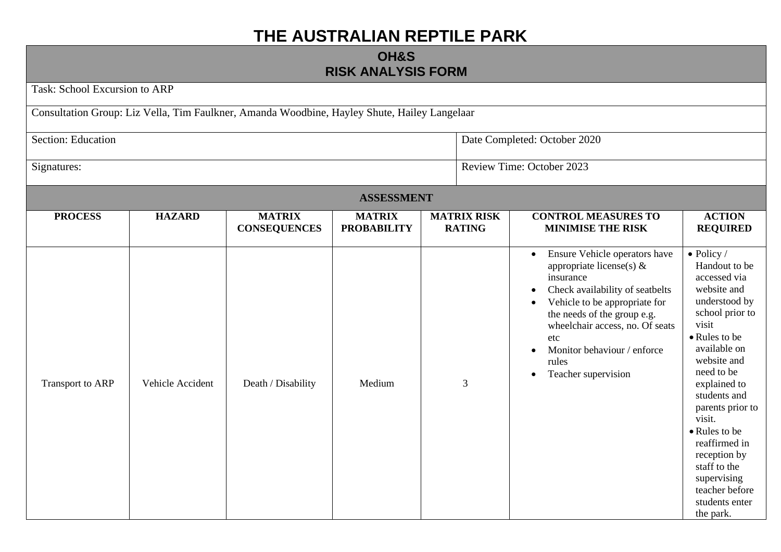## **THE AUSTRALIAN REPTILE PARK**

## **OH&S RISK ANALYSIS FORM**

|                               |                  |                                                                                              | <b>RISK ANALYSIS FORM</b>           |                                     |                                                                                                                                                                                                                                                                                                                              |                                                                                                                                                                                                                                                                                                                                                                               |
|-------------------------------|------------------|----------------------------------------------------------------------------------------------|-------------------------------------|-------------------------------------|------------------------------------------------------------------------------------------------------------------------------------------------------------------------------------------------------------------------------------------------------------------------------------------------------------------------------|-------------------------------------------------------------------------------------------------------------------------------------------------------------------------------------------------------------------------------------------------------------------------------------------------------------------------------------------------------------------------------|
| Task: School Excursion to ARP |                  |                                                                                              |                                     |                                     |                                                                                                                                                                                                                                                                                                                              |                                                                                                                                                                                                                                                                                                                                                                               |
|                               |                  | Consultation Group: Liz Vella, Tim Faulkner, Amanda Woodbine, Hayley Shute, Hailey Langelaar |                                     |                                     |                                                                                                                                                                                                                                                                                                                              |                                                                                                                                                                                                                                                                                                                                                                               |
| Section: Education            |                  |                                                                                              |                                     |                                     | Date Completed: October 2020                                                                                                                                                                                                                                                                                                 |                                                                                                                                                                                                                                                                                                                                                                               |
| Signatures:                   |                  |                                                                                              |                                     |                                     | Review Time: October 2023                                                                                                                                                                                                                                                                                                    |                                                                                                                                                                                                                                                                                                                                                                               |
|                               |                  |                                                                                              | <b>ASSESSMENT</b>                   |                                     |                                                                                                                                                                                                                                                                                                                              |                                                                                                                                                                                                                                                                                                                                                                               |
| <b>PROCESS</b>                | <b>HAZARD</b>    | <b>MATRIX</b><br><b>CONSEQUENCES</b>                                                         | <b>MATRIX</b><br><b>PROBABILITY</b> | <b>MATRIX RISK</b><br><b>RATING</b> | <b>CONTROL MEASURES TO</b><br><b>MINIMISE THE RISK</b>                                                                                                                                                                                                                                                                       | <b>ACTION</b><br><b>REQUIRED</b>                                                                                                                                                                                                                                                                                                                                              |
| Transport to ARP              | Vehicle Accident | Death / Disability                                                                           | Medium                              | 3                                   | Ensure Vehicle operators have<br>$\bullet$<br>appropriate license(s) $\&$<br>insurance<br>Check availability of seatbelts<br>Vehicle to be appropriate for<br>the needs of the group e.g.<br>wheelchair access, no. Of seats<br>etc<br>Monitor behaviour / enforce<br>$\bullet$<br>rules<br>Teacher supervision<br>$\bullet$ | $\bullet$ Policy /<br>Handout to be<br>accessed via<br>website and<br>understood by<br>school prior to<br>visit<br>• Rules to be<br>available on<br>website and<br>need to be<br>explained to<br>students and<br>parents prior to<br>visit.<br>• Rules to be<br>reaffirmed in<br>reception by<br>staff to the<br>supervising<br>teacher before<br>students enter<br>the park. |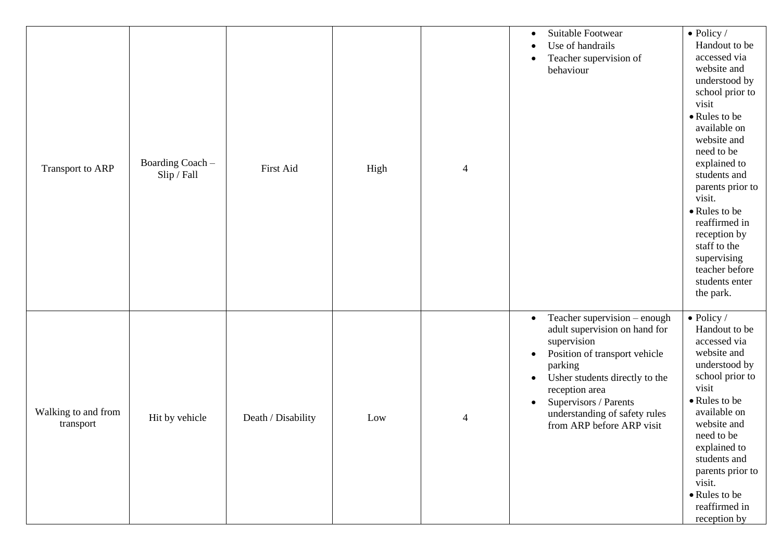| Transport to ARP                 | Boarding Coach -<br>Slip / Fall | First Aid          | High | $\overline{4}$ | Suitable Footwear<br>$\bullet$<br>Use of handrails<br>Teacher supervision of<br>$\bullet$<br>behaviour                                                                                                                                                                                                     | $\bullet$ Policy /<br>Handout to be<br>accessed via<br>website and<br>understood by<br>school prior to<br>visit<br>• Rules to be<br>available on<br>website and<br>need to be<br>explained to<br>students and<br>parents prior to<br>visit.<br>• Rules to be<br>reaffirmed in<br>reception by<br>staff to the<br>supervising<br>teacher before<br>students enter<br>the park. |
|----------------------------------|---------------------------------|--------------------|------|----------------|------------------------------------------------------------------------------------------------------------------------------------------------------------------------------------------------------------------------------------------------------------------------------------------------------------|-------------------------------------------------------------------------------------------------------------------------------------------------------------------------------------------------------------------------------------------------------------------------------------------------------------------------------------------------------------------------------|
| Walking to and from<br>transport | Hit by vehicle                  | Death / Disability | Low  | $\overline{4}$ | Teacher supervision - enough<br>$\bullet$<br>adult supervision on hand for<br>supervision<br>Position of transport vehicle<br>$\bullet$<br>parking<br>Usher students directly to the<br>$\bullet$<br>reception area<br>Supervisors / Parents<br>understanding of safety rules<br>from ARP before ARP visit | $\bullet$ Policy /<br>Handout to be<br>accessed via<br>website and<br>understood by<br>school prior to<br>visit<br>• Rules to be<br>available on<br>website and<br>need to be<br>explained to<br>students and<br>parents prior to<br>visit.<br>• Rules to be<br>reaffirmed in<br>reception by                                                                                 |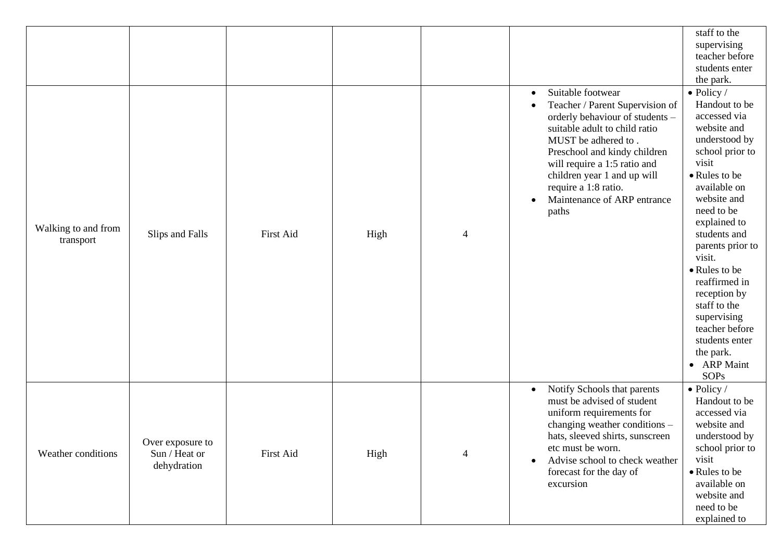|                                  |                                                  |                  |      |                          |                                                                                                                                                                                                                                                                                                                                   | staff to the<br>supervising<br>teacher before<br>students enter<br>the park.                                                                                                                                                                                                                                                                                                                                |
|----------------------------------|--------------------------------------------------|------------------|------|--------------------------|-----------------------------------------------------------------------------------------------------------------------------------------------------------------------------------------------------------------------------------------------------------------------------------------------------------------------------------|-------------------------------------------------------------------------------------------------------------------------------------------------------------------------------------------------------------------------------------------------------------------------------------------------------------------------------------------------------------------------------------------------------------|
| Walking to and from<br>transport | Slips and Falls                                  | <b>First Aid</b> | High | $\overline{\mathcal{A}}$ | Suitable footwear<br>$\bullet$<br>Teacher / Parent Supervision of<br>٠<br>orderly behaviour of students -<br>suitable adult to child ratio<br>MUST be adhered to .<br>Preschool and kindy children<br>will require a 1:5 ratio and<br>children year 1 and up will<br>require a 1:8 ratio.<br>Maintenance of ARP entrance<br>paths | $\bullet$ Policy /<br>Handout to be<br>accessed via<br>website and<br>understood by<br>school prior to<br>visit<br>• Rules to be<br>available on<br>website and<br>need to be<br>explained to<br>students and<br>parents prior to<br>visit.<br>• Rules to be<br>reaffirmed in<br>reception by<br>staff to the<br>supervising<br>teacher before<br>students enter<br>the park.<br>• ARP Maint<br><b>SOPs</b> |
| Weather conditions               | Over exposure to<br>Sun / Heat or<br>dehydration | First Aid        | High | 4                        | Notify Schools that parents<br>$\bullet$<br>must be advised of student<br>uniform requirements for<br>changing weather conditions -<br>hats, sleeved shirts, sunscreen<br>etc must be worn.<br>Advise school to check weather<br>$\bullet$<br>forecast for the day of<br>excursion                                                | $\bullet$ Policy /<br>Handout to be<br>accessed via<br>website and<br>understood by<br>school prior to<br>visit<br>• Rules to be<br>available on<br>website and<br>need to be<br>explained to                                                                                                                                                                                                               |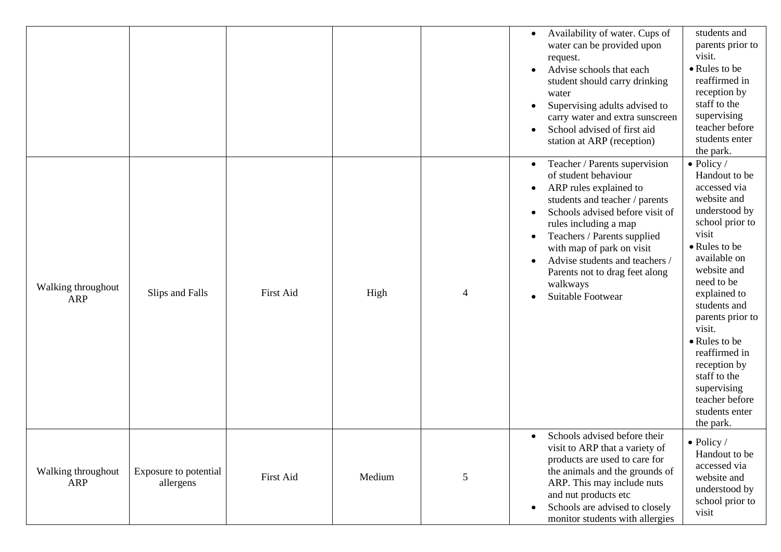|                                  |                                    |           |        |                | Availability of water. Cups of<br>$\bullet$<br>water can be provided upon<br>request.<br>Advise schools that each<br>$\bullet$<br>student should carry drinking<br>water<br>Supervising adults advised to<br>$\bullet$<br>carry water and extra sunscreen<br>School advised of first aid<br>station at ARP (reception)                                                                                          | students and<br>parents prior to<br>visit.<br>• Rules to be<br>reaffirmed in<br>reception by<br>staff to the<br>supervising<br>teacher before<br>students enter<br>the park.                                                                                                                                                                                                  |
|----------------------------------|------------------------------------|-----------|--------|----------------|-----------------------------------------------------------------------------------------------------------------------------------------------------------------------------------------------------------------------------------------------------------------------------------------------------------------------------------------------------------------------------------------------------------------|-------------------------------------------------------------------------------------------------------------------------------------------------------------------------------------------------------------------------------------------------------------------------------------------------------------------------------------------------------------------------------|
| Walking throughout<br><b>ARP</b> | Slips and Falls                    | First Aid | High   | $\overline{4}$ | Teacher / Parents supervision<br>$\bullet$<br>of student behaviour<br>ARP rules explained to<br>$\bullet$<br>students and teacher / parents<br>Schools advised before visit of<br>rules including a map<br>Teachers / Parents supplied<br>$\bullet$<br>with map of park on visit<br>Advise students and teachers /<br>$\bullet$<br>Parents not to drag feet along<br>walkways<br>Suitable Footwear<br>$\bullet$ | $\bullet$ Policy /<br>Handout to be<br>accessed via<br>website and<br>understood by<br>school prior to<br>visit<br>• Rules to be<br>available on<br>website and<br>need to be<br>explained to<br>students and<br>parents prior to<br>visit.<br>• Rules to be<br>reaffirmed in<br>reception by<br>staff to the<br>supervising<br>teacher before<br>students enter<br>the park. |
| Walking throughout<br>ARP        | Exposure to potential<br>allergens | First Aid | Medium | 5              | Schools advised before their<br>$\bullet$<br>visit to ARP that a variety of<br>products are used to care for<br>the animals and the grounds of<br>ARP. This may include nuts<br>and nut products etc<br>Schools are advised to closely<br>$\bullet$<br>monitor students with allergies                                                                                                                          | $\bullet$ Policy /<br>Handout to be<br>accessed via<br>website and<br>understood by<br>school prior to<br>visit                                                                                                                                                                                                                                                               |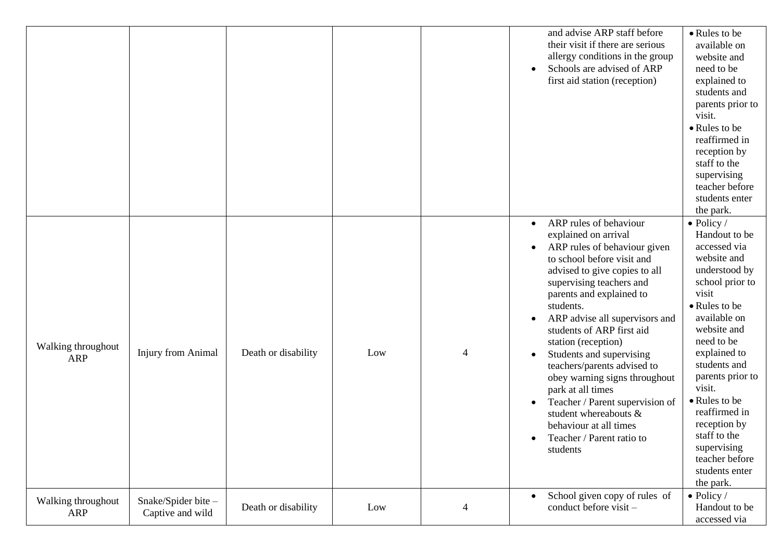|                                  |                                         |                     |     |                | and advise ARP staff before<br>their visit if there are serious<br>allergy conditions in the group<br>Schools are advised of ARP<br>first aid station (reception)                                                                                                                                                                                                                                                                                                                                                                                                                            | • Rules to be<br>available on<br>website and<br>need to be<br>explained to<br>students and<br>parents prior to<br>visit.<br>• Rules to be<br>reaffirmed in<br>reception by<br>staff to the<br>supervising<br>teacher before<br>students enter<br>the park.                                                                                                                    |
|----------------------------------|-----------------------------------------|---------------------|-----|----------------|----------------------------------------------------------------------------------------------------------------------------------------------------------------------------------------------------------------------------------------------------------------------------------------------------------------------------------------------------------------------------------------------------------------------------------------------------------------------------------------------------------------------------------------------------------------------------------------------|-------------------------------------------------------------------------------------------------------------------------------------------------------------------------------------------------------------------------------------------------------------------------------------------------------------------------------------------------------------------------------|
| Walking throughout<br><b>ARP</b> | <b>Injury from Animal</b>               | Death or disability | Low | $\overline{4}$ | ARP rules of behaviour<br>$\bullet$<br>explained on arrival<br>ARP rules of behaviour given<br>to school before visit and<br>advised to give copies to all<br>supervising teachers and<br>parents and explained to<br>students.<br>ARP advise all supervisors and<br>٠<br>students of ARP first aid<br>station (reception)<br>Students and supervising<br>٠<br>teachers/parents advised to<br>obey warning signs throughout<br>park at all times<br>Teacher / Parent supervision of<br>student whereabouts &<br>behaviour at all times<br>Teacher / Parent ratio to<br>$\bullet$<br>students | $\bullet$ Policy /<br>Handout to be<br>accessed via<br>website and<br>understood by<br>school prior to<br>visit<br>• Rules to be<br>available on<br>website and<br>need to be<br>explained to<br>students and<br>parents prior to<br>visit.<br>• Rules to be<br>reaffirmed in<br>reception by<br>staff to the<br>supervising<br>teacher before<br>students enter<br>the park. |
| Walking throughout<br><b>ARP</b> | Snake/Spider bite -<br>Captive and wild | Death or disability | Low | $\overline{4}$ | School given copy of rules of<br>$\bullet$<br>conduct before visit -                                                                                                                                                                                                                                                                                                                                                                                                                                                                                                                         | $\bullet$ Policy /<br>Handout to be<br>accessed via                                                                                                                                                                                                                                                                                                                           |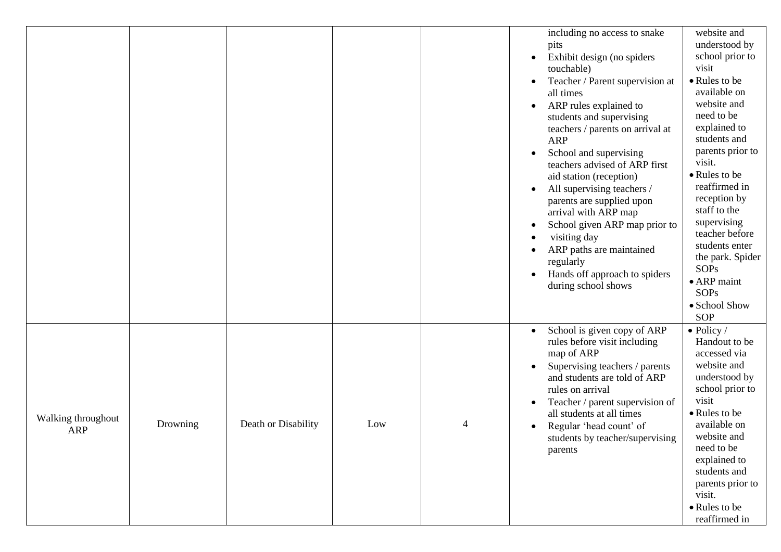|                                  |          |                     |     |   | including no access to snake<br>pits<br>Exhibit design (no spiders<br>$\bullet$<br>touchable)<br>Teacher / Parent supervision at<br>all times<br>ARP rules explained to<br>students and supervising<br>teachers / parents on arrival at<br><b>ARP</b><br>School and supervising<br>teachers advised of ARP first<br>aid station (reception)<br>All supervising teachers /<br>parents are supplied upon<br>arrival with ARP map<br>School given ARP map prior to<br>$\bullet$<br>visiting day<br>ARP paths are maintained<br>regularly<br>Hands off approach to spiders<br>during school shows | website and<br>understood by<br>school prior to<br>visit<br>• Rules to be<br>available on<br>website and<br>need to be<br>explained to<br>students and<br>parents prior to<br>visit.<br>• Rules to be<br>reaffirmed in<br>reception by<br>staff to the<br>supervising<br>teacher before<br>students enter<br>the park. Spider<br><b>SOPs</b><br>$\bullet$ ARP maint<br><b>SOPs</b><br>• School Show<br><b>SOP</b> |
|----------------------------------|----------|---------------------|-----|---|-----------------------------------------------------------------------------------------------------------------------------------------------------------------------------------------------------------------------------------------------------------------------------------------------------------------------------------------------------------------------------------------------------------------------------------------------------------------------------------------------------------------------------------------------------------------------------------------------|-------------------------------------------------------------------------------------------------------------------------------------------------------------------------------------------------------------------------------------------------------------------------------------------------------------------------------------------------------------------------------------------------------------------|
| Walking throughout<br><b>ARP</b> | Drowning | Death or Disability | Low | 4 | School is given copy of ARP<br>$\bullet$<br>rules before visit including<br>map of ARP<br>Supervising teachers / parents<br>and students are told of ARP<br>rules on arrival<br>Teacher / parent supervision of<br>all students at all times<br>Regular 'head count' of<br>students by teacher/supervising<br>parents                                                                                                                                                                                                                                                                         | $\bullet$ Policy /<br>Handout to be<br>accessed via<br>website and<br>understood by<br>school prior to<br>visit<br>• Rules to be<br>available on<br>website and<br>need to be<br>explained to<br>students and<br>parents prior to<br>visit.<br>• Rules to be<br>reaffirmed in                                                                                                                                     |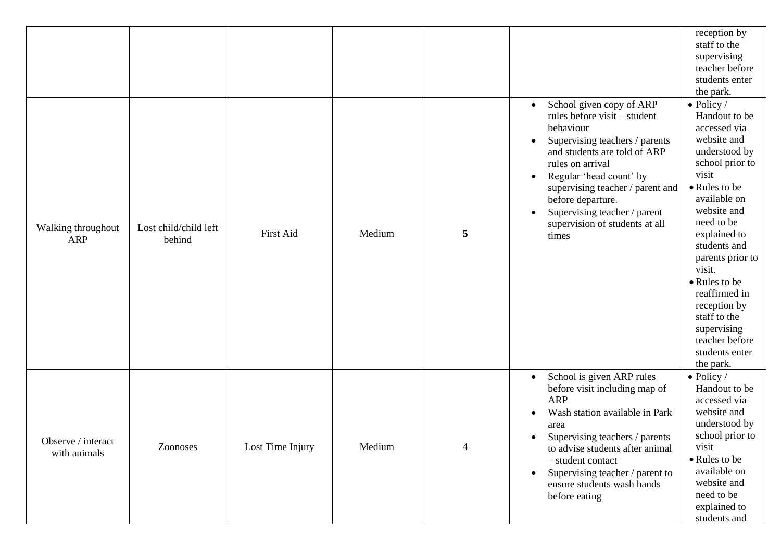|                                    |                                 |                  |        |                |                                                                                                                                                                                                                                                                                                                                                      | reception by<br>staff to the<br>supervising<br>teacher before<br>students enter<br>the park.                                                                                                                                                                                                                                                                                  |
|------------------------------------|---------------------------------|------------------|--------|----------------|------------------------------------------------------------------------------------------------------------------------------------------------------------------------------------------------------------------------------------------------------------------------------------------------------------------------------------------------------|-------------------------------------------------------------------------------------------------------------------------------------------------------------------------------------------------------------------------------------------------------------------------------------------------------------------------------------------------------------------------------|
| Walking throughout<br>ARP          | Lost child/child left<br>behind | First Aid        | Medium | 5              | School given copy of ARP<br>$\bullet$<br>rules before visit – student<br>behaviour<br>Supervising teachers / parents<br>$\bullet$<br>and students are told of ARP<br>rules on arrival<br>Regular 'head count' by<br>supervising teacher / parent and<br>before departure.<br>Supervising teacher / parent<br>supervision of students at all<br>times | $\bullet$ Policy /<br>Handout to be<br>accessed via<br>website and<br>understood by<br>school prior to<br>visit<br>• Rules to be<br>available on<br>website and<br>need to be<br>explained to<br>students and<br>parents prior to<br>visit.<br>• Rules to be<br>reaffirmed in<br>reception by<br>staff to the<br>supervising<br>teacher before<br>students enter<br>the park. |
| Observe / interact<br>with animals | Zoonoses                        | Lost Time Injury | Medium | $\overline{4}$ | School is given ARP rules<br>$\bullet$<br>before visit including map of<br><b>ARP</b><br>Wash station available in Park<br>area<br>Supervising teachers / parents<br>$\bullet$<br>to advise students after animal<br>- student contact<br>Supervising teacher / parent to<br>$\bullet$<br>ensure students wash hands<br>before eating                | $\bullet$ Policy /<br>Handout to be<br>accessed via<br>website and<br>understood by<br>school prior to<br>visit<br>• Rules to be<br>available on<br>website and<br>need to be<br>explained to<br>students and                                                                                                                                                                 |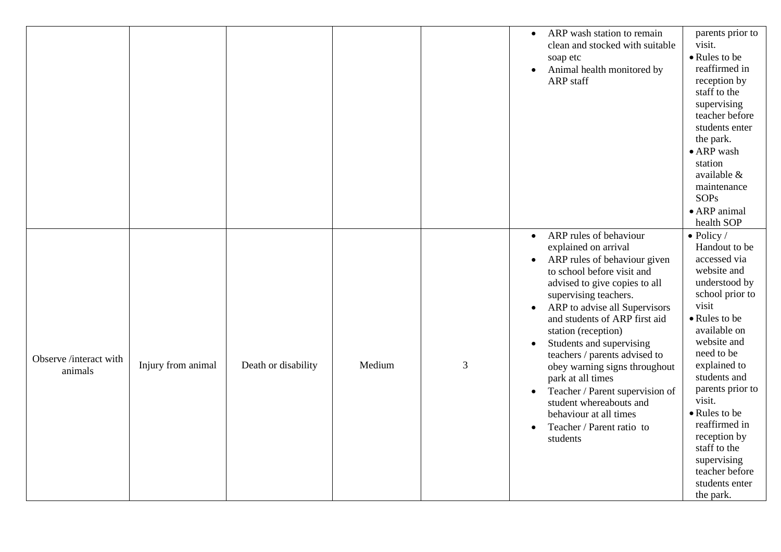|                                   |                    |                     |        |   | ARP wash station to remain<br>$\bullet$<br>clean and stocked with suitable<br>soap etc<br>Animal health monitored by<br><b>ARP</b> staff<br>ARP rules of behaviour<br>$\bullet$                                                                                                                                                                                                                                                                                                                                                  | parents prior to<br>visit.<br>• Rules to be<br>reaffirmed in<br>reception by<br>staff to the<br>supervising<br>teacher before<br>students enter<br>the park.<br>$\bullet$ ARP wash<br>station<br>available &<br>maintenance<br><b>SOPs</b><br>• ARP animal<br>health SOP<br>$\bullet$ Policy /                                                          |
|-----------------------------------|--------------------|---------------------|--------|---|----------------------------------------------------------------------------------------------------------------------------------------------------------------------------------------------------------------------------------------------------------------------------------------------------------------------------------------------------------------------------------------------------------------------------------------------------------------------------------------------------------------------------------|---------------------------------------------------------------------------------------------------------------------------------------------------------------------------------------------------------------------------------------------------------------------------------------------------------------------------------------------------------|
| Observe /interact with<br>animals | Injury from animal | Death or disability | Medium | 3 | explained on arrival<br>ARP rules of behaviour given<br>to school before visit and<br>advised to give copies to all<br>supervising teachers.<br>ARP to advise all Supervisors<br>$\bullet$<br>and students of ARP first aid<br>station (reception)<br>Students and supervising<br>$\bullet$<br>teachers / parents advised to<br>obey warning signs throughout<br>park at all times<br>Teacher / Parent supervision of<br>$\bullet$<br>student whereabouts and<br>behaviour at all times<br>Teacher / Parent ratio to<br>students | Handout to be<br>accessed via<br>website and<br>understood by<br>school prior to<br>visit<br>• Rules to be<br>available on<br>website and<br>need to be<br>explained to<br>students and<br>parents prior to<br>visit.<br>• Rules to be<br>reaffirmed in<br>reception by<br>staff to the<br>supervising<br>teacher before<br>students enter<br>the park. |